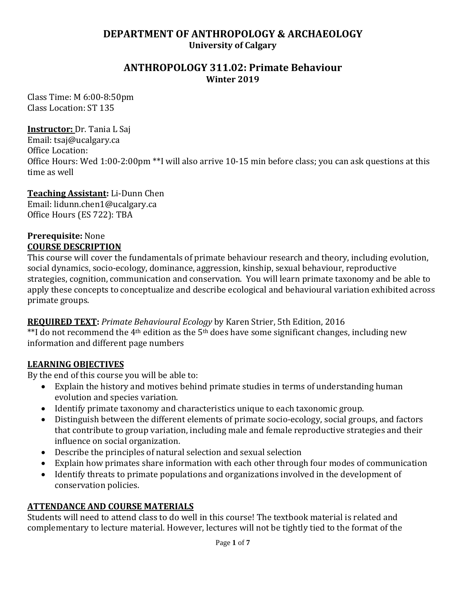# **DEPARTMENT OF ANTHROPOLOGY & ARCHAEOLOGY University of Calgary**

## **ANTHROPOLOGY 311.02: Primate Behaviour Winter 2019**

Class Time: M 6:00-8:50pm Class Location: ST 135

### **Instructor:** Dr. Tania L Saj

Email: tsaj@ucalgary.ca Office Location: Office Hours: Wed 1:00-2:00pm \*\*I will also arrive 10-15 min before class; you can ask questions at this time as well

#### **Teaching Assistant:** Li-Dunn Chen

Email: lidunn.chen1@ucalgary.ca Office Hours (ES 722): TBA

#### **Prerequisite:** None **COURSE DESCRIPTION**

This course will cover the fundamentals of primate behaviour research and theory, including evolution, social dynamics, socio-ecology, dominance, aggression, kinship, sexual behaviour, reproductive strategies, cognition, communication and conservation. You will learn primate taxonomy and be able to apply these concepts to conceptualize and describe ecological and behavioural variation exhibited across primate groups.

## **REQUIRED TEXT:** *Primate Behavioural Ecology* by Karen Strier, 5th Edition, 2016

 $*$ I do not recommend the 4<sup>th</sup> edition as the 5<sup>th</sup> does have some significant changes, including new information and different page numbers

## **LEARNING OBJECTIVES**

By the end of this course you will be able to:

- Explain the history and motives behind primate studies in terms of understanding human evolution and species variation.
- Identify primate taxonomy and characteristics unique to each taxonomic group.
- Distinguish between the different elements of primate socio-ecology, social groups, and factors that contribute to group variation, including male and female reproductive strategies and their influence on social organization.
- Describe the principles of natural selection and sexual selection
- Explain how primates share information with each other through four modes of communication
- Identify threats to primate populations and organizations involved in the development of conservation policies.

## **ATTENDANCE AND COURSE MATERIALS**

Students will need to attend class to do well in this course! The textbook material is related and complementary to lecture material. However, lectures will not be tightly tied to the format of the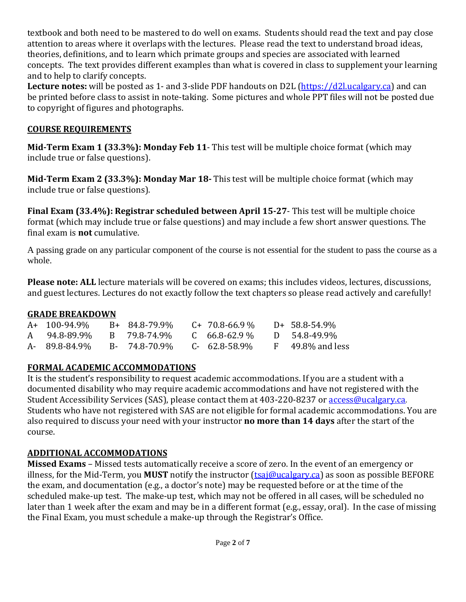textbook and both need to be mastered to do well on exams. Students should read the text and pay close attention to areas where it overlaps with the lectures. Please read the text to understand broad ideas, theories, definitions, and to learn which primate groups and species are associated with learned concepts. The text provides different examples than what is covered in class to supplement your learning and to help to clarify concepts.

**Lecture notes:** will be posted as 1- and 3-slide PDF handouts on D2L [\(https://d2l.ucalgary.ca\)](https://d2l.ucalgary.ca/) and can be printed before class to assist in note-taking. Some pictures and whole PPT files will not be posted due to copyright of figures and photographs.

# **COURSE REQUIREMENTS**

**Mid-Term Exam 1 (33.3%): Monday Feb 11**- This test will be multiple choice format (which may include true or false questions).

**Mid-Term Exam 2 (33.3%): Monday Mar 18-** This test will be multiple choice format (which may include true or false questions).

**Final Exam (33.4%): Registrar scheduled between April 15-27**- This test will be multiple choice format (which may include true or false questions) and may include a few short answer questions. The final exam is **not** cumulative.

A passing grade on any particular component of the course is not essential for the student to pass the course as a whole.

**Please note: ALL** lecture materials will be covered on exams; this includes videos, lectures, discussions, and guest lectures. Lectures do not exactly follow the text chapters so please read actively and carefully!

# **GRADE BREAKDOWN**

| $A+ 100-94.9\%$ | B+ 84.8-79.9% | C+ 70.8-66.9 %      | $D+ 58.8 - 54.9\%$    |
|-----------------|---------------|---------------------|-----------------------|
| A 94.8-89.9%    | B 79.8-74.9%  | $C = 66.8 - 62.9$ % | D 54.8-49.9%          |
| A- 89.8-84.9%   | B- 74.8-70.9% | C- 62.8-58.9%       | $F = 49.8\%$ and less |

# **FORMAL ACADEMIC ACCOMMODATIONS**

It is the student's responsibility to request academic accommodations. If you are a student with a documented disability who may require academic accommodations and have not registered with the Student Accessibility Services (SAS), please contact them at 403-220-8237 or [access@ucalgary.ca.](mailto:access@ucalgary.ca) Students who have not registered with SAS are not eligible for formal academic accommodations. You are also required to discuss your need with your instructor **no more than 14 days** after the start of the course.

# **ADDITIONAL ACCOMMODATIONS**

**Missed Exams** – Missed tests automatically receive a score of zero. In the event of an emergency or illness, for the Mid-Term, you **MUST** notify the instructor [\(tsaj@ucalgary.ca\)](mailto:tsaj@ucalgary.ca) as soon as possible BEFORE the exam, and documentation (e.g., a doctor's note) may be requested before or at the time of the scheduled make-up test. The make-up test, which may not be offered in all cases, will be scheduled no later than 1 week after the exam and may be in a different format (e.g., essay, oral). In the case of missing the Final Exam, you must schedule a make-up through the Registrar's Office.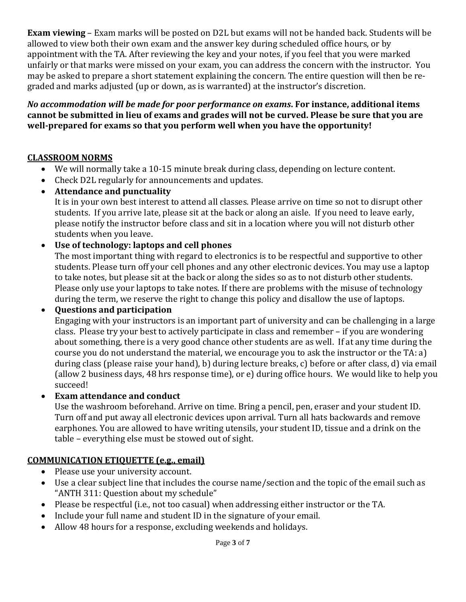**Exam viewing** – Exam marks will be posted on D2L but exams will not be handed back. Students will be allowed to view both their own exam and the answer key during scheduled office hours, or by appointment with the TA. After reviewing the key and your notes, if you feel that you were marked unfairly or that marks were missed on your exam, you can address the concern with the instructor. You may be asked to prepare a short statement explaining the concern. The entire question will then be regraded and marks adjusted (up or down, as is warranted) at the instructor's discretion.

*No accommodation will be made for poor performance on exams***. For instance, additional items cannot be submitted in lieu of exams and grades will not be curved. Please be sure that you are well-prepared for exams so that you perform well when you have the opportunity!** 

# **CLASSROOM NORMS**

- We will normally take a 10-15 minute break during class, depending on lecture content.
- Check D2L regularly for announcements and updates.
- **Attendance and punctuality**

It is in your own best interest to attend all classes. Please arrive on time so not to disrupt other students. If you arrive late, please sit at the back or along an aisle. If you need to leave early, please notify the instructor before class and sit in a location where you will not disturb other students when you leave.

• **Use of technology: laptops and cell phones** 

The most important thing with regard to electronics is to be respectful and supportive to other students. Please turn off your cell phones and any other electronic devices. You may use a laptop to take notes, but please sit at the back or along the sides so as to not disturb other students. Please only use your laptops to take notes. If there are problems with the misuse of technology during the term, we reserve the right to change this policy and disallow the use of laptops.

• **Questions and participation**

Engaging with your instructors is an important part of university and can be challenging in a large class. Please try your best to actively participate in class and remember – if you are wondering about something, there is a very good chance other students are as well. If at any time during the course you do not understand the material, we encourage you to ask the instructor or the TA: a) during class (please raise your hand), b) during lecture breaks, c) before or after class, d) via email (allow 2 business days, 48 hrs response time), or e) during office hours. We would like to help you succeed!

• **Exam attendance and conduct**

Use the washroom beforehand. Arrive on time. Bring a pencil, pen, eraser and your student ID. Turn off and put away all electronic devices upon arrival. Turn all hats backwards and remove earphones. You are allowed to have writing utensils, your student ID, tissue and a drink on the table – everything else must be stowed out of sight.

# **COMMUNICATION ETIQUETTE (e.g., email)**

- Please use your university account.
- Use a clear subject line that includes the course name/section and the topic of the email such as "ANTH 311: Question about my schedule"
- Please be respectful (i.e., not too casual) when addressing either instructor or the TA.
- Include your full name and student ID in the signature of your email.
- Allow 48 hours for a response, excluding weekends and holidays.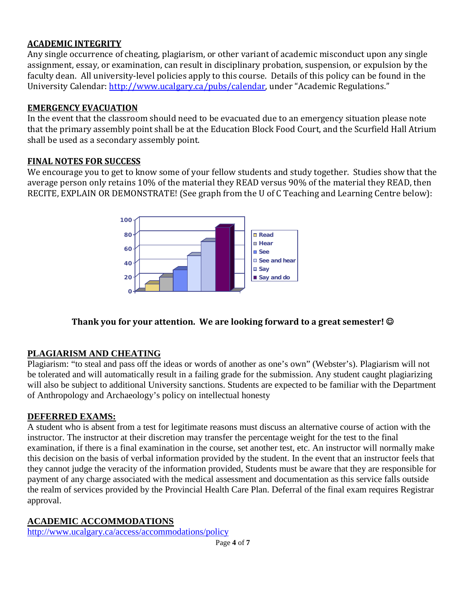## **ACADEMIC INTEGRITY**

Any single occurrence of cheating, plagiarism, or other variant of academic misconduct upon any single assignment, essay, or examination, can result in disciplinary probation, suspension, or expulsion by the faculty dean. All university-level policies apply to this course. Details of this policy can be found in the University Calendar: [http://www.ucalgary.ca/pubs/calendar,](http://www.ucalgary.ca/pubs/calendar) under "Academic Regulations."

#### **EMERGENCY EVACUATION**

In the event that the classroom should need to be evacuated due to an emergency situation please note that the primary assembly point shall be at the Education Block Food Court, and the Scurfield Hall Atrium shall be used as a secondary assembly point.

## **FINAL NOTES FOR SUCCESS**

We encourage you to get to know some of your fellow students and study together. Studies show that the average person only retains 10% of the material they READ versus 90% of the material they READ, then RECITE, EXPLAIN OR DEMONSTRATE! (See graph from the U of C Teaching and Learning Centre below):



# **Thank you for your attention. We are looking forward to a great semester!**

## **PLAGIARISM AND CHEATING**

Plagiarism: "to steal and pass off the ideas or words of another as one's own" (Webster's). Plagiarism will not be tolerated and will automatically result in a failing grade for the submission. Any student caught plagiarizing will also be subject to additional University sanctions. Students are expected to be familiar with the Department of Anthropology and Archaeology's policy on intellectual honesty

#### **DEFERRED EXAMS:**

A student who is absent from a test for legitimate reasons must discuss an alternative course of action with the instructor. The instructor at their discretion may transfer the percentage weight for the test to the final examination, if there is a final examination in the course, set another test, etc. An instructor will normally make this decision on the basis of verbal information provided by the student. In the event that an instructor feels that they cannot judge the veracity of the information provided, Students must be aware that they are responsible for payment of any charge associated with the medical assessment and documentation as this service falls outside the realm of services provided by the Provincial Health Care Plan. Deferral of the final exam requires Registrar approval.

## **ACADEMIC ACCOMMODATIONS**

<http://www.ucalgary.ca/access/accommodations/policy>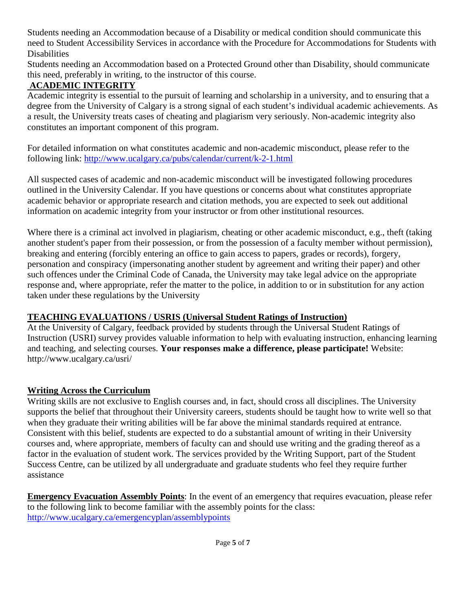Students needing an Accommodation because of a Disability or medical condition should communicate this need to Student Accessibility Services in accordance with the Procedure for Accommodations for Students with **Disabilities** 

Students needing an Accommodation based on a Protected Ground other than Disability, should communicate this need, preferably in writing, to the instructor of this course.

# **ACADEMIC INTEGRITY**

Academic integrity is essential to the pursuit of learning and scholarship in a university, and to ensuring that a degree from the University of Calgary is a strong signal of each student's individual academic achievements. As a result, the University treats cases of cheating and plagiarism very seriously. Non-academic integrity also constitutes an important component of this program.

For detailed information on what constitutes academic and non-academic misconduct, please refer to the following link:<http://www.ucalgary.ca/pubs/calendar/current/k-2-1.html>

All suspected cases of academic and non-academic misconduct will be investigated following procedures outlined in the University Calendar. If you have questions or concerns about what constitutes appropriate academic behavior or appropriate research and citation methods, you are expected to seek out additional information on academic integrity from your instructor or from other institutional resources.

Where there is a criminal act involved in plagiarism, cheating or other academic misconduct, e.g., theft (taking another student's paper from their possession, or from the possession of a faculty member without permission), breaking and entering (forcibly entering an office to gain access to papers, grades or records), forgery, personation and conspiracy (impersonating another student by agreement and writing their paper) and other such offences under the Criminal Code of Canada, the University may take legal advice on the appropriate response and, where appropriate, refer the matter to the police, in addition to or in substitution for any action taken under these regulations by the University

# **TEACHING EVALUATIONS / USRIS (Universal Student Ratings of Instruction)**

At the University of Calgary, feedback provided by students through the Universal Student Ratings of Instruction (USRI) survey provides valuable information to help with evaluating instruction, enhancing learning and teaching, and selecting courses. **Your responses make a difference, please participate!** Website: http://www.ucalgary.ca/usri/

# **Writing Across the Curriculum**

Writing skills are not exclusive to English courses and, in fact, should cross all disciplines. The University supports the belief that throughout their University careers, students should be taught how to write well so that when they graduate their writing abilities will be far above the minimal standards required at entrance. Consistent with this belief, students are expected to do a substantial amount of writing in their University courses and, where appropriate, members of faculty can and should use writing and the grading thereof as a factor in the evaluation of student work. The services provided by the Writing Support, part of the Student Success Centre, can be utilized by all undergraduate and graduate students who feel they require further assistance

**Emergency Evacuation Assembly Points**: In the event of an emergency that requires evacuation, please refer to the following link to become familiar with the assembly points for the class: <http://www.ucalgary.ca/emergencyplan/assemblypoints>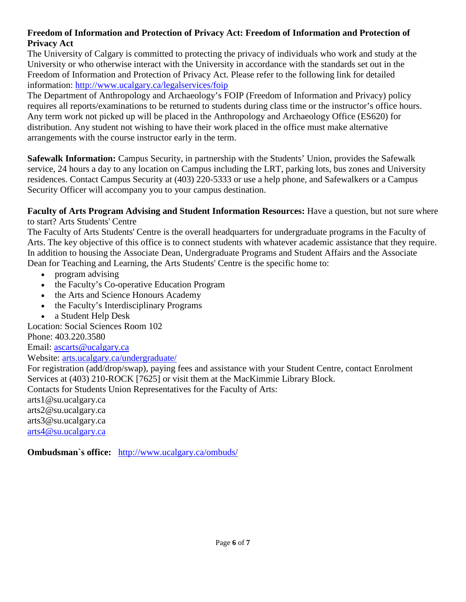## **Freedom of Information and Protection of Privacy Act: Freedom of Information and Protection of Privacy Act**

The University of Calgary is committed to protecting the privacy of individuals who work and study at the University or who otherwise interact with the University in accordance with the standards set out in the Freedom of Information and Protection of Privacy Act. Please refer to the following link for detailed information:<http://www.ucalgary.ca/legalservices/foip>

The Department of Anthropology and Archaeology's FOIP (Freedom of Information and Privacy) policy requires all reports/examinations to be returned to students during class time or the instructor's office hours. Any term work not picked up will be placed in the Anthropology and Archaeology Office (ES620) for distribution. Any student not wishing to have their work placed in the office must make alternative arrangements with the course instructor early in the term.

**Safewalk Information:** Campus Security, in partnership with the Students' Union, provides the Safewalk service, 24 hours a day to any location on Campus including the LRT, parking lots, bus zones and University residences. Contact Campus Security at (403) 220-5333 or use a help phone, and Safewalkers or a Campus Security Officer will accompany you to your campus destination.

**Faculty of Arts Program Advising and Student Information Resources:** Have a question, but not sure where to start? Arts Students' Centre

The Faculty of Arts Students' Centre is the overall headquarters for undergraduate programs in the Faculty of Arts. The key objective of this office is to connect students with whatever academic assistance that they require. In addition to housing the Associate Dean, Undergraduate Programs and Student Affairs and the Associate Dean for Teaching and Learning, the Arts Students' Centre is the specific home to:

- program advising
- the Faculty's Co-operative Education Program
- the Arts and Science Honours Academy
- the Faculty's Interdisciplinary Programs
- a Student Help Desk

Location: Social Sciences Room 102 Phone: 403.220.3580

Email: [ascarts@ucalgary.ca](http://ucalgary.ca/pubs/calendar/current/ascarts@ucalgary.ca)

Website: [arts.ucalgary.ca/undergraduate/](http://arts.ucalgary.ca/undergraduate/)

For registration (add/drop/swap), paying fees and assistance with your Student Centre, contact Enrolment Services at (403) 210-ROCK [7625] or visit them at the MacKimmie Library Block.

Contacts for Students Union Representatives for the Faculty of Arts:

arts1@su.ucalgary.ca arts2@su.ucalgary.ca arts3@su.ucalgary.ca [arts4@su.ucalgary.ca](mailto:arts4@su.ucalgary.ca)

**Ombudsman`s office:** <http://www.ucalgary.ca/ombuds/>